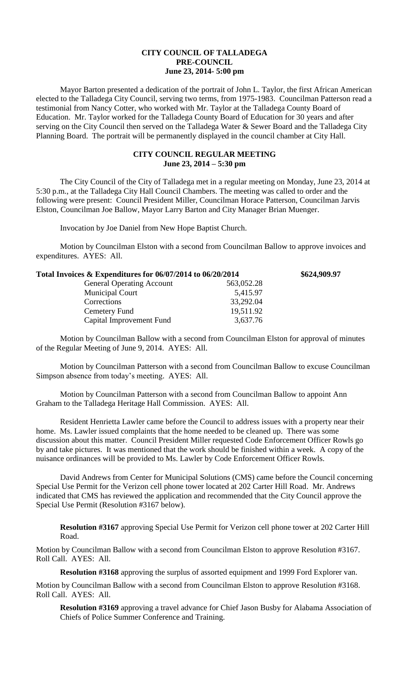## **CITY COUNCIL OF TALLADEGA PRE-COUNCIL June 23, 2014- 5:00 pm**

Mayor Barton presented a dedication of the portrait of John L. Taylor, the first African American elected to the Talladega City Council, serving two terms, from 1975-1983. Councilman Patterson read a testimonial from Nancy Cotter, who worked with Mr. Taylor at the Talladega County Board of Education. Mr. Taylor worked for the Talladega County Board of Education for 30 years and after serving on the City Council then served on the Talladega Water & Sewer Board and the Talladega City Planning Board. The portrait will be permanently displayed in the council chamber at City Hall.

## **CITY COUNCIL REGULAR MEETING June 23, 2014 – 5:30 pm**

The City Council of the City of Talladega met in a regular meeting on Monday, June 23, 2014 at 5:30 p.m., at the Talladega City Hall Council Chambers. The meeting was called to order and the following were present: Council President Miller, Councilman Horace Patterson, Councilman Jarvis Elston, Councilman Joe Ballow, Mayor Larry Barton and City Manager Brian Muenger.

Invocation by Joe Daniel from New Hope Baptist Church.

Motion by Councilman Elston with a second from Councilman Ballow to approve invoices and expenditures. AYES: All.

| Total Invoices & Expenditures for 06/07/2014 to 06/20/2014 | \$624,909.97 |
|------------------------------------------------------------|--------------|
| 563,052.28                                                 |              |
| 5,415.97                                                   |              |
| 33,292.04                                                  |              |
| 19,511.92                                                  |              |
| 3,637.76                                                   |              |
|                                                            |              |

Motion by Councilman Ballow with a second from Councilman Elston for approval of minutes of the Regular Meeting of June 9, 2014. AYES: All.

Motion by Councilman Patterson with a second from Councilman Ballow to excuse Councilman Simpson absence from today's meeting. AYES: All.

Motion by Councilman Patterson with a second from Councilman Ballow to appoint Ann Graham to the Talladega Heritage Hall Commission. AYES: All.

Resident Henrietta Lawler came before the Council to address issues with a property near their home. Ms. Lawler issued complaints that the home needed to be cleaned up. There was some discussion about this matter. Council President Miller requested Code Enforcement Officer Rowls go by and take pictures. It was mentioned that the work should be finished within a week. A copy of the nuisance ordinances will be provided to Ms. Lawler by Code Enforcement Officer Rowls.

David Andrews from Center for Municipal Solutions (CMS) came before the Council concerning Special Use Permit for the Verizon cell phone tower located at 202 Carter Hill Road. Mr. Andrews indicated that CMS has reviewed the application and recommended that the City Council approve the Special Use Permit (Resolution #3167 below).

**Resolution #3167** approving Special Use Permit for Verizon cell phone tower at 202 Carter Hill Road.

Motion by Councilman Ballow with a second from Councilman Elston to approve Resolution #3167. Roll Call. AYES: All.

**Resolution #3168** approving the surplus of assorted equipment and 1999 Ford Explorer van.

Motion by Councilman Ballow with a second from Councilman Elston to approve Resolution #3168. Roll Call. AYES: All.

**Resolution #3169** approving a travel advance for Chief Jason Busby for Alabama Association of Chiefs of Police Summer Conference and Training.